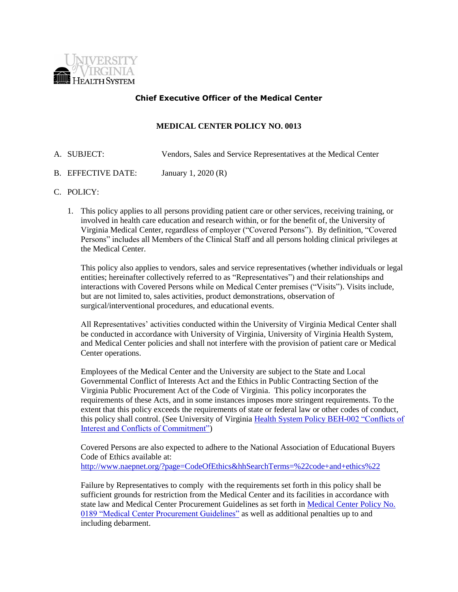

# **Chief Executive Officer of the Medical Center**

### **MEDICAL CENTER POLICY NO. 0013**

- A. SUBJECT: Vendors, Sales and Service Representatives at the Medical Center
- B. EFFECTIVE DATE: January 1, 2020 (R)

#### C. POLICY:

1. This policy applies to all persons providing patient care or other services, receiving training, or involved in health care education and research within, or for the benefit of, the University of Virginia Medical Center, regardless of employer ("Covered Persons"). By definition, "Covered Persons" includes all Members of the Clinical Staff and all persons holding clinical privileges at the Medical Center.

This policy also applies to vendors, sales and service representatives (whether individuals or legal entities; hereinafter collectively referred to as "Representatives") and their relationships and interactions with Covered Persons while on Medical Center premises ("Visits"). Visits include, but are not limited to, sales activities, product demonstrations, observation of surgical/interventional procedures, and educational events.

All Representatives' activities conducted within the University of Virginia Medical Center shall be conducted in accordance with University of Virginia, University of Virginia Health System, and Medical Center policies and shall not interfere with the provision of patient care or Medical Center operations.

Employees of the Medical Center and the University are subject to the State and Local Governmental Conflict of Interests Act and the Ethics in Public Contracting Section of the Virginia Public Procurement Act of the Code of Virginia. This policy incorporates the requirements of these Acts, and in some instances imposes more stringent requirements. To the extent that this policy exceeds the requirements of state or federal law or other codes of conduct, this policy shall control. (See University of Virginia [Health System Policy BEH-002 "Conflicts of](http://www.healthsystem.virginia.edu/docs/health-system/behavior/conflict-of-interest)  [Interest and Conflicts of Commitment"\)](http://www.healthsystem.virginia.edu/docs/health-system/behavior/conflict-of-interest)

Covered Persons are also expected to adhere to the National Association of Educational Buyers Code of Ethics available at: <http://www.naepnet.org/?page=CodeOfEthics&hhSearchTerms=%22code+and+ethics%22>

Failure by Representatives to comply with the requirements set forth in this policy shall be sufficient grounds for restriction from the Medical Center and its facilities in accordance with state law and Medical Center Procurement Guidelines as set forth i[n Medical Center Policy No.](http://www.healthsystem.virginia.edu/docs/manuals/policies/mc/A70A3BE0-110A-2E68-1402F13719C7615A/A70A3FD7-110A-2E68-14CA7F2C016492AD/medical-center-procurement-guidelines)  [0189 "Medical Center Procurement Guidelines"](http://www.healthsystem.virginia.edu/docs/manuals/policies/mc/A70A3BE0-110A-2E68-1402F13719C7615A/A70A3FD7-110A-2E68-14CA7F2C016492AD/medical-center-procurement-guidelines) as well as additional penalties up to and including debarment.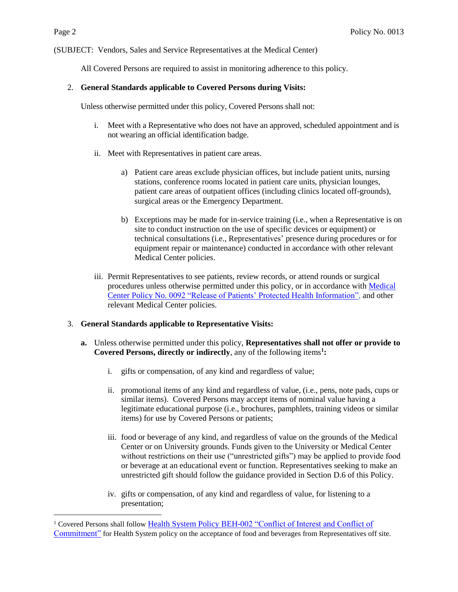$\overline{a}$ 

(SUBJECT: Vendors, Sales and Service Representatives at the Medical Center)

All Covered Persons are required to assist in monitoring adherence to this policy.

## 2. **General Standards applicable to Covered Persons during Visits:**

Unless otherwise permitted under this policy, Covered Persons shall not:

- i. Meet with a Representative who does not have an approved, scheduled appointment and is not wearing an official identification badge.
- ii. Meet with Representatives in patient care areas.
	- a) Patient care areas exclude physician offices, but include patient units, nursing stations, conference rooms located in patient care units, physician lounges, patient care areas of outpatient offices (including clinics located off-grounds), surgical areas or the Emergency Department.
	- b) Exceptions may be made for in-service training (i.e., when a Representative is on site to conduct instruction on the use of specific devices or equipment) or technical consultations (i.e., Representatives' presence during procedures or for equipment repair or maintenance) conducted in accordance with other relevant Medical Center policies.
- iii. Permit Representatives to see patients, review records, or attend rounds or surgical procedures unless otherwise permitted under this policy, or in accordance with [Medical](http://www.healthsystem.virginia.edu/docs/manuals/policies/mc/A70A3BFF-110A-2E68-14425C84FD8A4A24/A70A4026-110A-2E68-14F30D00DE831A6B/release-of-patients-protected-health-information)  Center Policy No. 0092 "Release of Patients' [Protected Health Information",](http://www.healthsystem.virginia.edu/docs/manuals/policies/mc/A70A3BFF-110A-2E68-14425C84FD8A4A24/A70A4026-110A-2E68-14F30D00DE831A6B/release-of-patients-protected-health-information) and other relevant Medical Center policies.

# 3. **General Standards applicable to Representative Visits:**

- **a.** Unless otherwise permitted under this policy, **Representatives shall not offer or provide to Covered Persons, directly or indirectly**, any of the following items**<sup>1</sup> :**
	- i. gifts or compensation, of any kind and regardless of value;
	- ii. promotional items of any kind and regardless of value, (i.e., pens, note pads, cups or similar items). Covered Persons may accept items of nominal value having a legitimate educational purpose (i.e., brochures, pamphlets, training videos or similar items) for use by Covered Persons or patients;
	- iii. food or beverage of any kind, and regardless of value on the grounds of the Medical Center or on University grounds. Funds given to the University or Medical Center without restrictions on their use ("unrestricted gifts") may be applied to provide food or beverage at an educational event or function. Representatives seeking to make an unrestricted gift should follow the guidance provided in Section D.6 of this Policy.
	- iv. gifts or compensation, of any kind and regardless of value, for listening to a presentation;

<sup>1</sup> Covered Persons shall follow [Health System Policy BEH-002 "Conflict of Interest and Conflict of](http://www.healthsystem.virginia.edu/docs/health-system/behavior/conflict-of-interest)  [Commitment"](http://www.healthsystem.virginia.edu/docs/health-system/behavior/conflict-of-interest) for Health System policy on the acceptance of food and beverages from Representatives off site.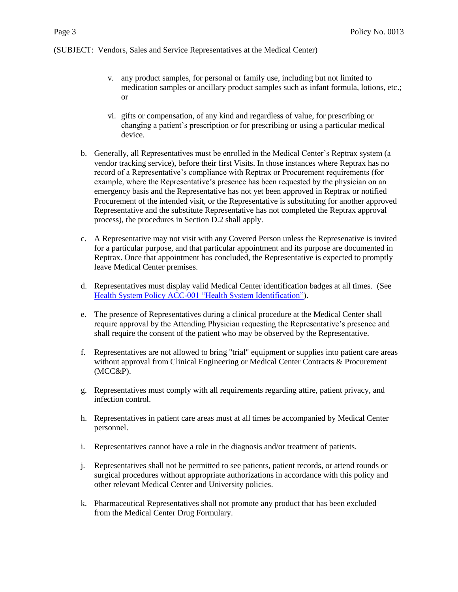- v. any product samples, for personal or family use, including but not limited to medication samples or ancillary product samples such as infant formula, lotions, etc.; or
- vi. gifts or compensation, of any kind and regardless of value, for prescribing or changing a patient's prescription or for prescribing or using a particular medical device.
- b. Generally, all Representatives must be enrolled in the Medical Center's Reptrax system (a vendor tracking service), before their first Visits. In those instances where Reptrax has no record of a Representative's compliance with Reptrax or Procurement requirements (for example, where the Representative's presence has been requested by the physician on an emergency basis and the Representative has not yet been approved in Reptrax or notified Procurement of the intended visit, or the Representative is substituting for another approved Representative and the substitute Representative has not completed the Reptrax approval process), the procedures in Section D.2 shall apply.
- c. A Representative may not visit with any Covered Person unless the Represenative is invited for a particular purpose, and that particular appointment and its purpose are documented in Reptrax. Once that appointment has concluded, the Representative is expected to promptly leave Medical Center premises.
- d. Representatives must display valid Medical Center identification badges at all times. (See [Health System Policy ACC-001 "Health System Identification"\)](http://www.healthsystem.virginia.edu/docs/health-system/access/health-system-identification).
- e. The presence of Representatives during a clinical procedure at the Medical Center shall require approval by the Attending Physician requesting the Representative's presence and shall require the consent of the patient who may be observed by the Representative.
- f. Representatives are not allowed to bring "trial" equipment or supplies into patient care areas without approval from Clinical Engineering or Medical Center Contracts & Procurement (MCC&P).
- g. Representatives must comply with all requirements regarding attire, patient privacy, and infection control.
- h. Representatives in patient care areas must at all times be accompanied by Medical Center personnel.
- i. Representatives cannot have a role in the diagnosis and/or treatment of patients.
- j. Representatives shall not be permitted to see patients, patient records, or attend rounds or surgical procedures without appropriate authorizations in accordance with this policy and other relevant Medical Center and University policies.
- k. Pharmaceutical Representatives shall not promote any product that has been excluded from the Medical Center Drug Formulary.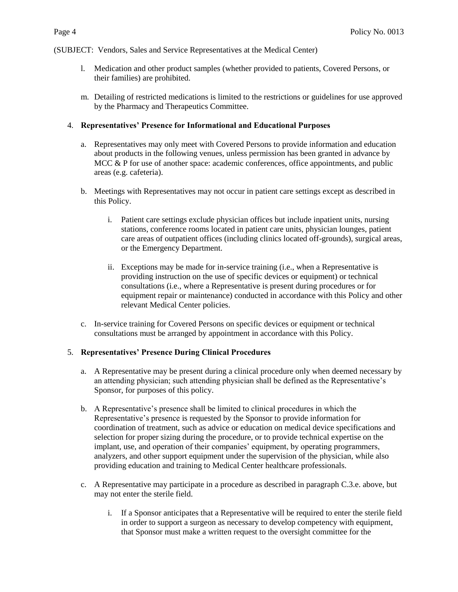- l. Medication and other product samples (whether provided to patients, Covered Persons, or their families) are prohibited.
- m. Detailing of restricted medications is limited to the restrictions or guidelines for use approved by the Pharmacy and Therapeutics Committee.

## 4. **Representatives' Presence for Informational and Educational Purposes**

- a. Representatives may only meet with Covered Persons to provide information and education about products in the following venues, unless permission has been granted in advance by MCC & P for use of another space: academic conferences, office appointments, and public areas (e.g. cafeteria).
- b. Meetings with Representatives may not occur in patient care settings except as described in this Policy.
	- i. Patient care settings exclude physician offices but include inpatient units, nursing stations, conference rooms located in patient care units, physician lounges, patient care areas of outpatient offices (including clinics located off-grounds), surgical areas, or the Emergency Department.
	- ii. Exceptions may be made for in-service training (i.e., when a Representative is providing instruction on the use of specific devices or equipment) or technical consultations (i.e., where a Representative is present during procedures or for equipment repair or maintenance) conducted in accordance with this Policy and other relevant Medical Center policies.
- c. In-service training for Covered Persons on specific devices or equipment or technical consultations must be arranged by appointment in accordance with this Policy.

# 5. **Representatives' Presence During Clinical Procedures**

- a. A Representative may be present during a clinical procedure only when deemed necessary by an attending physician; such attending physician shall be defined as the Representative's Sponsor, for purposes of this policy.
- b. A Representative's presence shall be limited to clinical procedures in which the Representative's presence is requested by the Sponsor to provide information for coordination of treatment, such as advice or education on medical device specifications and selection for proper sizing during the procedure, or to provide technical expertise on the implant, use, and operation of their companies' equipment, by operating programmers, analyzers, and other support equipment under the supervision of the physician, while also providing education and training to Medical Center healthcare professionals.
- c. A Representative may participate in a procedure as described in paragraph C.3.e. above, but may not enter the sterile field.
	- i. If a Sponsor anticipates that a Representative will be required to enter the sterile field in order to support a surgeon as necessary to develop competency with equipment, that Sponsor must make a written request to the oversight committee for the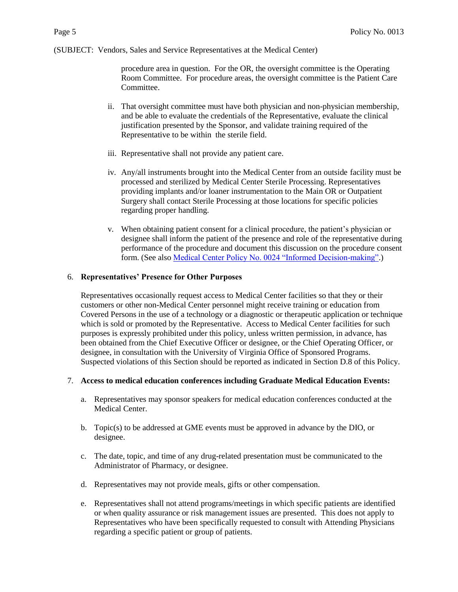procedure area in question. For the OR, the oversight committee is the Operating Room Committee. For procedure areas, the oversight committee is the Patient Care Committee.

- ii. That oversight committee must have both physician and non-physician membership, and be able to evaluate the credentials of the Representative, evaluate the clinical justification presented by the Sponsor, and validate training required of the Representative to be within the sterile field.
- iii. Representative shall not provide any patient care.
- iv. Any/all instruments brought into the Medical Center from an outside facility must be processed and sterilized by Medical Center Sterile Processing. Representatives providing implants and/or loaner instrumentation to the Main OR or Outpatient Surgery shall contact Sterile Processing at those locations for specific policies regarding proper handling.
- v. When obtaining patient consent for a clinical procedure, the patient's physician or designee shall inform the patient of the presence and role of the representative during performance of the procedure and document this discussion on the procedure consent form. (See als[o Medical Center Policy No. 0024 "Informed Decision-making".](http://www.healthsystem.virginia.edu/docs/manuals/policies/mc/A70A3C0F-110A-2E68-14CB7CA516FAE39D/A70A4045-110A-2E68-14F10CE9F86EB918/informed-decision-making))

### 6. **Representatives' Presence for Other Purposes**

Representatives occasionally request access to Medical Center facilities so that they or their customers or other non-Medical Center personnel might receive training or education from Covered Persons in the use of a technology or a diagnostic or therapeutic application or technique which is sold or promoted by the Representative. Access to Medical Center facilities for such purposes is expressly prohibited under this policy, unless written permission, in advance, has been obtained from the Chief Executive Officer or designee, or the Chief Operating Officer, or designee, in consultation with the University of Virginia Office of Sponsored Programs. Suspected violations of this Section should be reported as indicated in Section D.8 of this Policy.

### 7. **Access to medical education conferences including Graduate Medical Education Events:**

- a. Representatives may sponsor speakers for medical education conferences conducted at the Medical Center.
- b. Topic(s) to be addressed at GME events must be approved in advance by the DIO, or designee.
- c. The date, topic, and time of any drug-related presentation must be communicated to the Administrator of Pharmacy, or designee.
- d. Representatives may not provide meals, gifts or other compensation.
- e. Representatives shall not attend programs/meetings in which specific patients are identified or when quality assurance or risk management issues are presented. This does not apply to Representatives who have been specifically requested to consult with Attending Physicians regarding a specific patient or group of patients.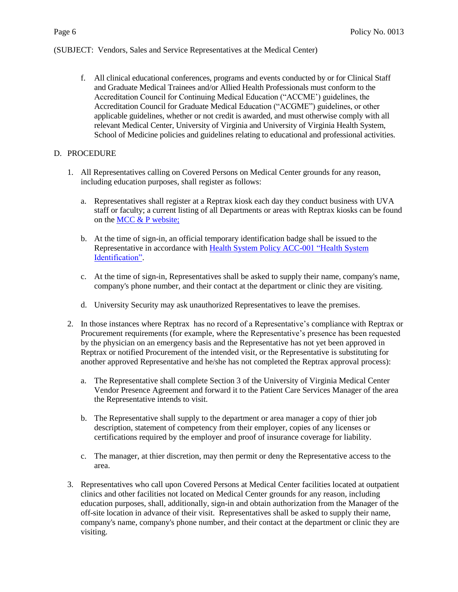f. All clinical educational conferences, programs and events conducted by or for Clinical Staff and Graduate Medical Trainees and/or Allied Health Professionals must conform to the Accreditation Council for Continuing Medical Education ("ACCME') guidelines, the Accreditation Council for Graduate Medical Education ("ACGME") guidelines, or other applicable guidelines, whether or not credit is awarded, and must otherwise comply with all relevant Medical Center, University of Virginia and University of Virginia Health System, School of Medicine policies and guidelines relating to educational and professional activities.

# D. PROCEDURE

- 1. All Representatives calling on Covered Persons on Medical Center grounds for any reason, including education purposes, shall register as follows:
	- a. Representatives shall register at a Reptrax kiosk each day they conduct business with UVA staff or faculty; a current listing of all Departments or areas with Reptrax kiosks can be found on the [MCC & P website;](https://www.medicalcenter.virginia.edu/intranet/scm/reptrax)
	- b. At the time of sign-in, an official temporary identification badge shall be issued to the Representative in accordance with [Health System Policy ACC-001 "Health System](http://www.healthsystem.virginia.edu/docs/health-system/access/health-system-identification)  [Identification".](http://www.healthsystem.virginia.edu/docs/health-system/access/health-system-identification)
	- c. At the time of sign-in, Representatives shall be asked to supply their name, company's name, company's phone number, and their contact at the department or clinic they are visiting.
	- d. University Security may ask unauthorized Representatives to leave the premises.
- 2. In those instances where Reptrax has no record of a Representative's compliance with Reptrax or Procurement requirements (for example, where the Representative's presence has been requested by the physician on an emergency basis and the Representative has not yet been approved in Reptrax or notified Procurement of the intended visit, or the Representative is substituting for another approved Representative and he/she has not completed the Reptrax approval process):
	- a. The Representative shall complete Section 3 of the University of Virginia Medical Center Vendor Presence Agreement and forward it to the Patient Care Services Manager of the area the Representative intends to visit.
	- b. The Representative shall supply to the department or area manager a copy of thier job description, statement of competency from their employer, copies of any licenses or certifications required by the employer and proof of insurance coverage for liability.
	- c. The manager, at thier discretion, may then permit or deny the Representative access to the area.
- 3. Representatives who call upon Covered Persons at Medical Center facilities located at outpatient clinics and other facilities not located on Medical Center grounds for any reason, including education purposes, shall, additionally, sign-in and obtain authorization from the Manager of the off-site location in advance of their visit. Representatives shall be asked to supply their name, company's name, company's phone number, and their contact at the department or clinic they are visiting.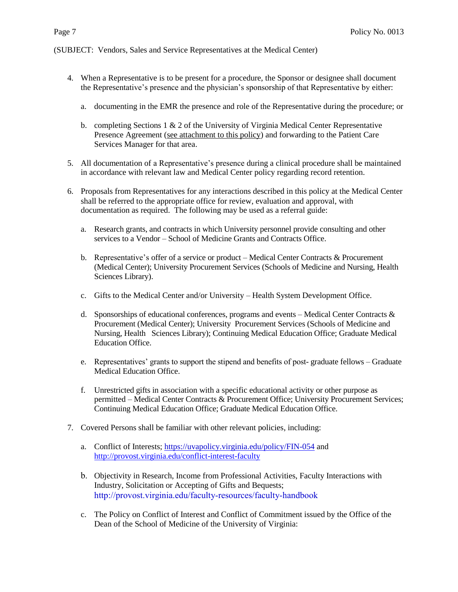- 4. When a Representative is to be present for a procedure, the Sponsor or designee shall document the Representative's presence and the physician's sponsorship of that Representative by either:
	- a. documenting in the EMR the presence and role of the Representative during the procedure; or
	- b. completing Sections 1  $\&$  2 of the University of Virginia Medical Center Representative Presence Agreement (see attachment to this policy) and forwarding to the Patient Care Services Manager for that area.
- 5. All documentation of a Representative's presence during a clinical procedure shall be maintained in accordance with relevant law and Medical Center policy regarding record retention.
- 6. Proposals from Representatives for any interactions described in this policy at the Medical Center shall be referred to the appropriate office for review, evaluation and approval, with documentation as required. The following may be used as a referral guide:
	- a. Research grants, and contracts in which University personnel provide consulting and other services to a Vendor – School of Medicine Grants and Contracts Office.
	- b. Representative's offer of a service or product Medical Center Contracts  $\&$  Procurement (Medical Center); University Procurement Services (Schools of Medicine and Nursing, Health Sciences Library).
	- c. Gifts to the Medical Center and/or University Health System Development Office.
	- d. Sponsorships of educational conferences, programs and events Medical Center Contracts  $\&$ Procurement (Medical Center); University Procurement Services (Schools of Medicine and Nursing, Health Sciences Library); Continuing Medical Education Office; Graduate Medical Education Office.
	- e. Representatives' grants to support the stipend and benefits of post- graduate fellows Graduate Medical Education Office.
	- f. Unrestricted gifts in association with a specific educational activity or other purpose as permitted – Medical Center Contracts & Procurement Office; University Procurement Services; Continuing Medical Education Office; Graduate Medical Education Office.
- 7. Covered Persons shall be familiar with other relevant policies, including:
	- a. Conflict of Interests; <https://uvapolicy.virginia.edu/policy/FIN-054> and <http://provost.virginia.edu/conflict-interest-faculty>
	- b. Objectivity in Research, Income from Professional Activities, Faculty Interactions with Industry, Solicitation or Accepting of Gifts and Bequests; [http://provost.virginia.edu/faculty-resources/faculty-handbook](https://provost.virginia.edu/faculty-handbook/faculty-handbook-welcome)
	- c. The Policy on Conflict of Interest and Conflict of Commitment issued by the Office of the Dean of the School of Medicine of the University of Virginia: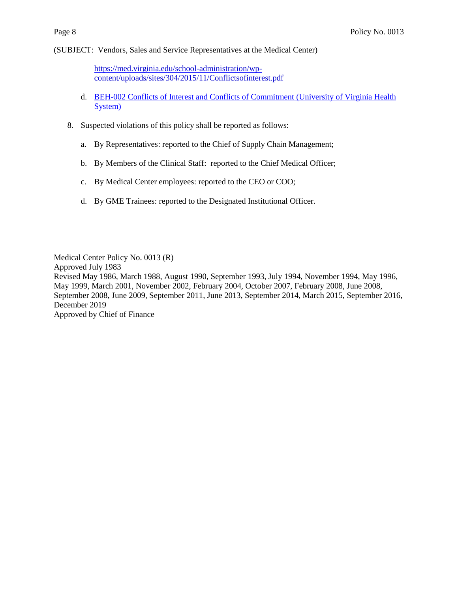[https://med.virginia.edu/school-administration/wp](https://med.virginia.edu/school-administration/wp-content/uploads/sites/304/2019/06/Code-of-Conduct-REV-June-2019-.pdf)[content/uploads/sites/304/2015/11/Conflictsofinterest.pdf](https://med.virginia.edu/school-administration/wp-content/uploads/sites/304/2019/06/Code-of-Conduct-REV-June-2019-.pdf)

- d. BEH-002 Conflicts [of Interest and Conflicts of Commitment \(University of Virginia Health](http://www.healthsystem.virginia.edu/docs/health-system/behavior/conflict-of-interest)  [System\)](http://www.healthsystem.virginia.edu/docs/health-system/behavior/conflict-of-interest)
- 8. Suspected violations of this policy shall be reported as follows:
	- a. By Representatives: reported to the Chief of Supply Chain Management;
	- b. By Members of the Clinical Staff: reported to the Chief Medical Officer;
	- c. By Medical Center employees: reported to the CEO or COO;
	- d. By GME Trainees: reported to the Designated Institutional Officer.

Medical Center Policy No. 0013 (R) Approved July 1983 Revised May 1986, March 1988, August 1990, September 1993, July 1994, November 1994, May 1996, May 1999, March 2001, November 2002, February 2004, October 2007, February 2008, June 2008, September 2008, June 2009, September 2011, June 2013, September 2014, March 2015, September 2016, December 2019 Approved by Chief of Finance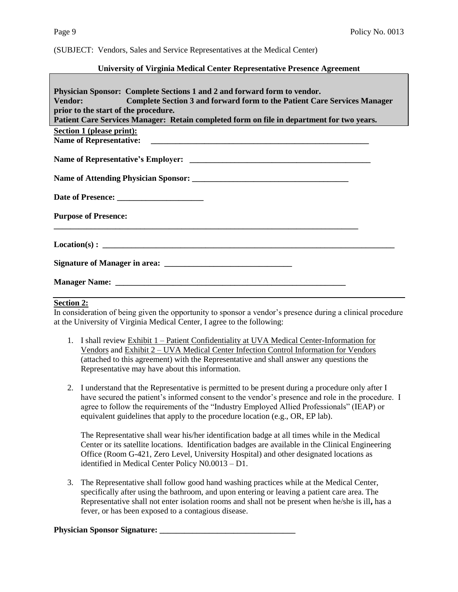#### **University of Virginia Medical Center Representative Presence Agreement**

### **Section 2:**

In consideration of being given the opportunity to sponsor a vendor's presence during a clinical procedure at the University of Virginia Medical Center, I agree to the following:

- 1. I shall review Exhibit 1 Patient Confidentiality at UVA Medical Center-Information for Vendors and Exhibit 2 – UVA Medical Center Infection Control Information for Vendors (attached to this agreement) with the Representative and shall answer any questions the Representative may have about this information.
- 2. I understand that the Representative is permitted to be present during a procedure only after I have secured the patient's informed consent to the vendor's presence and role in the procedure. I agree to follow the requirements of the "Industry Employed Allied Professionals" (IEAP) or equivalent guidelines that apply to the procedure location (e.g., OR, EP lab).

The Representative shall wear his/her identification badge at all times while in the Medical Center or its satellite locations. Identification badges are available in the Clinical Engineering Office (Room G-421, Zero Level, University Hospital) and other designated locations as identified in Medical Center Policy N0.0013 – D1.

3. The Representative shall follow good hand washing practices while at the Medical Center, specifically after using the bathroom, and upon entering or leaving a patient care area. The Representative shall not enter isolation rooms and shall not be present when he/she is ill**,** has a fever, or has been exposed to a contagious disease.

#### **Physician Sponsor Signature: \_\_\_\_\_\_\_\_\_\_\_\_\_\_\_\_\_\_\_\_\_\_\_\_\_\_\_\_\_\_\_\_\_**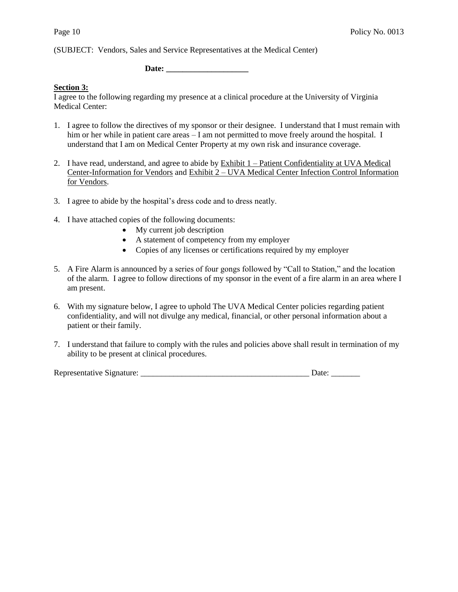Date:

### **Section 3:**

I agree to the following regarding my presence at a clinical procedure at the University of Virginia Medical Center:

- 1. I agree to follow the directives of my sponsor or their designee. I understand that I must remain with him or her while in patient care areas – I am not permitted to move freely around the hospital. I understand that I am on Medical Center Property at my own risk and insurance coverage.
- 2. I have read, understand, and agree to abide by Exhibit 1 Patient Confidentiality at UVA Medical Center-Information for Vendors and Exhibit 2 – UVA Medical Center Infection Control Information for Vendors.
- 3. I agree to abide by the hospital's dress code and to dress neatly.
- 4. I have attached copies of the following documents:
	- My current job description
	- A statement of competency from my employer
	- Copies of any licenses or certifications required by my employer
- 5. A Fire Alarm is announced by a series of four gongs followed by "Call to Station," and the location of the alarm. I agree to follow directions of my sponsor in the event of a fire alarm in an area where I am present.
- 6. With my signature below, I agree to uphold The UVA Medical Center policies regarding patient confidentiality, and will not divulge any medical, financial, or other personal information about a patient or their family.
- 7. I understand that failure to comply with the rules and policies above shall result in termination of my ability to be present at clinical procedures.

Representative Signature: \_\_\_\_\_\_\_\_\_\_\_\_\_\_\_\_\_\_\_\_\_\_\_\_\_\_\_\_\_\_\_\_\_\_\_\_\_\_\_\_\_ Date: \_\_\_\_\_\_\_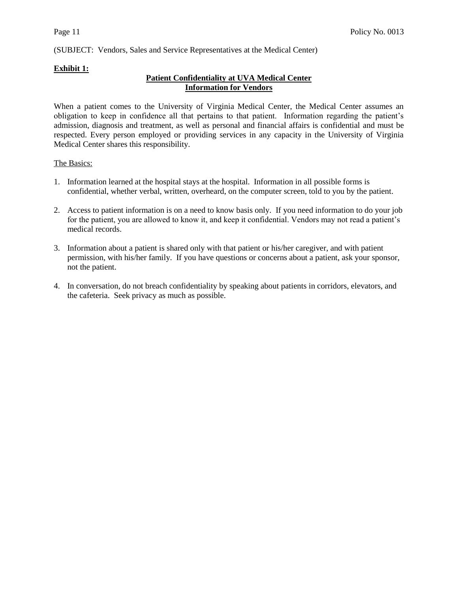# **Exhibit 1:**

## **Patient Confidentiality at UVA Medical Center Information for Vendors**

When a patient comes to the University of Virginia Medical Center, the Medical Center assumes an obligation to keep in confidence all that pertains to that patient. Information regarding the patient's admission, diagnosis and treatment, as well as personal and financial affairs is confidential and must be respected. Every person employed or providing services in any capacity in the University of Virginia Medical Center shares this responsibility.

### The Basics:

- 1. Information learned at the hospital stays at the hospital. Information in all possible forms is confidential, whether verbal, written, overheard, on the computer screen, told to you by the patient.
- 2. Access to patient information is on a need to know basis only.If you need information to do your job for the patient, you are allowed to know it, and keep it confidential. Vendors may not read a patient's medical records.
- 3. Information about a patient is shared only with that patient or his/her caregiver, and with patient permission, with his/her family. If you have questions or concerns about a patient, ask your sponsor, not the patient.
- 4. In conversation, do not breach confidentiality by speaking about patients in corridors, elevators, and the cafeteria. Seek privacy as much as possible.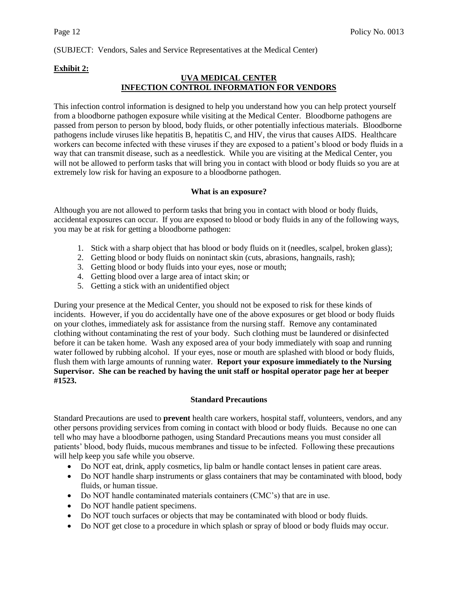## **Exhibit 2:**

# **UVA MEDICAL CENTER INFECTION CONTROL INFORMATION FOR VENDORS**

This infection control information is designed to help you understand how you can help protect yourself from a bloodborne pathogen exposure while visiting at the Medical Center. Bloodborne pathogens are passed from person to person by blood, body fluids, or other potentially infectious materials. Bloodborne pathogens include viruses like hepatitis B, hepatitis C, and HIV, the virus that causes AIDS. Healthcare workers can become infected with these viruses if they are exposed to a patient's blood or body fluids in a way that can transmit disease, such as a needlestick. While you are visiting at the Medical Center, you will not be allowed to perform tasks that will bring you in contact with blood or body fluids so you are at extremely low risk for having an exposure to a bloodborne pathogen.

### **What is an exposure?**

Although you are not allowed to perform tasks that bring you in contact with blood or body fluids, accidental exposures can occur. If you are exposed to blood or body fluids in any of the following ways, you may be at risk for getting a bloodborne pathogen:

- 1. Stick with a sharp object that has blood or body fluids on it (needles, scalpel, broken glass);
- 2. Getting blood or body fluids on nonintact skin (cuts, abrasions, hangnails, rash);
- 3. Getting blood or body fluids into your eyes, nose or mouth;
- 4. Getting blood over a large area of intact skin; or
- 5. Getting a stick with an unidentified object

During your presence at the Medical Center, you should not be exposed to risk for these kinds of incidents. However, if you do accidentally have one of the above exposures or get blood or body fluids on your clothes, immediately ask for assistance from the nursing staff. Remove any contaminated clothing without contaminating the rest of your body. Such clothing must be laundered or disinfected before it can be taken home. Wash any exposed area of your body immediately with soap and running water followed by rubbing alcohol. If your eyes, nose or mouth are splashed with blood or body fluids, flush them with large amounts of running water. **Report your exposure immediately to the Nursing Supervisor. She can be reached by having the unit staff or hospital operator page her at beeper #1523.**

### **Standard Precautions**

Standard Precautions are used to **prevent** health care workers, hospital staff, volunteers, vendors, and any other persons providing services from coming in contact with blood or body fluids. Because no one can tell who may have a bloodborne pathogen, using Standard Precautions means you must consider all patients' blood, body fluids, mucous membranes and tissue to be infected. Following these precautions will help keep you safe while you observe.

- Do NOT eat, drink, apply cosmetics, lip balm or handle contact lenses in patient care areas.
- Do NOT handle sharp instruments or glass containers that may be contaminated with blood, body fluids, or human tissue.
- Do NOT handle contaminated materials containers (CMC's) that are in use.
- Do NOT handle patient specimens.
- Do NOT touch surfaces or objects that may be contaminated with blood or body fluids.
- Do NOT get close to a procedure in which splash or spray of blood or body fluids may occur.